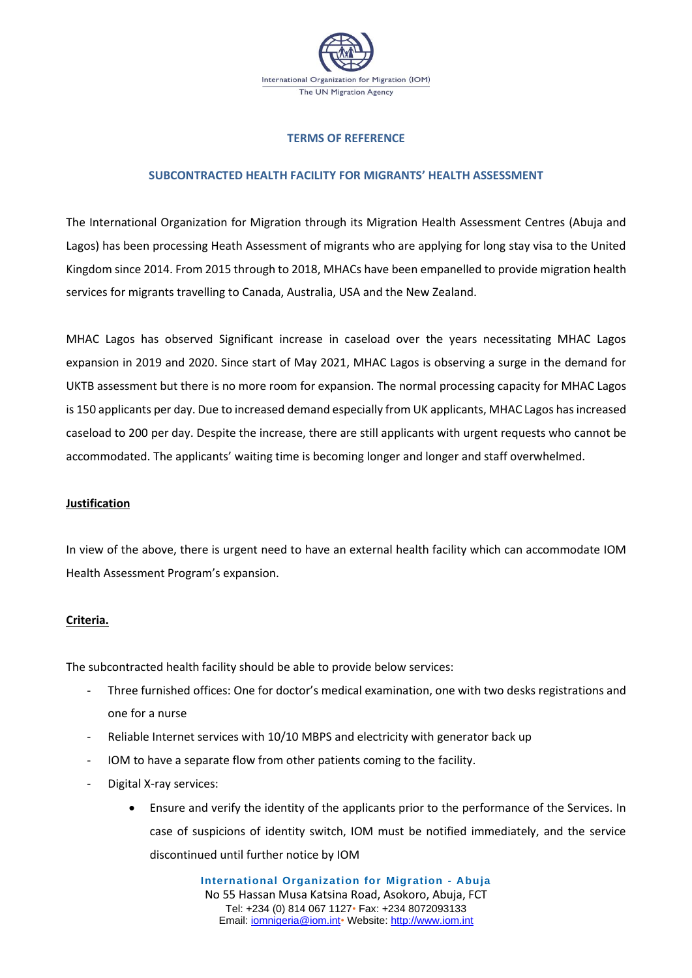

### **TERMS OF REFERENCE**

# **SUBCONTRACTED HEALTH FACILITY FOR MIGRANTS' HEALTH ASSESSMENT**

The International Organization for Migration through its Migration Health Assessment Centres (Abuja and Lagos) has been processing Heath Assessment of migrants who are applying for long stay visa to the United Kingdom since 2014. From 2015 through to 2018, MHACs have been empanelled to provide migration health services for migrants travelling to Canada, Australia, USA and the New Zealand.

MHAC Lagos has observed Significant increase in caseload over the years necessitating MHAC Lagos expansion in 2019 and 2020. Since start of May 2021, MHAC Lagos is observing a surge in the demand for UKTB assessment but there is no more room for expansion. The normal processing capacity for MHAC Lagos is 150 applicants per day. Due to increased demand especially from UK applicants, MHAC Lagos has increased caseload to 200 per day. Despite the increase, there are still applicants with urgent requests who cannot be accommodated. The applicants' waiting time is becoming longer and longer and staff overwhelmed.

#### **Justification**

In view of the above, there is urgent need to have an external health facility which can accommodate IOM Health Assessment Program's expansion.

#### **Criteria.**

The subcontracted health facility should be able to provide below services:

- Three furnished offices: One for doctor's medical examination, one with two desks registrations and one for a nurse
- Reliable Internet services with 10/10 MBPS and electricity with generator back up
- IOM to have a separate flow from other patients coming to the facility.
- Digital X-ray services:
	- Ensure and verify the identity of the applicants prior to the performance of the Services. In case of suspicions of identity switch, IOM must be notified immediately, and the service discontinued until further notice by IOM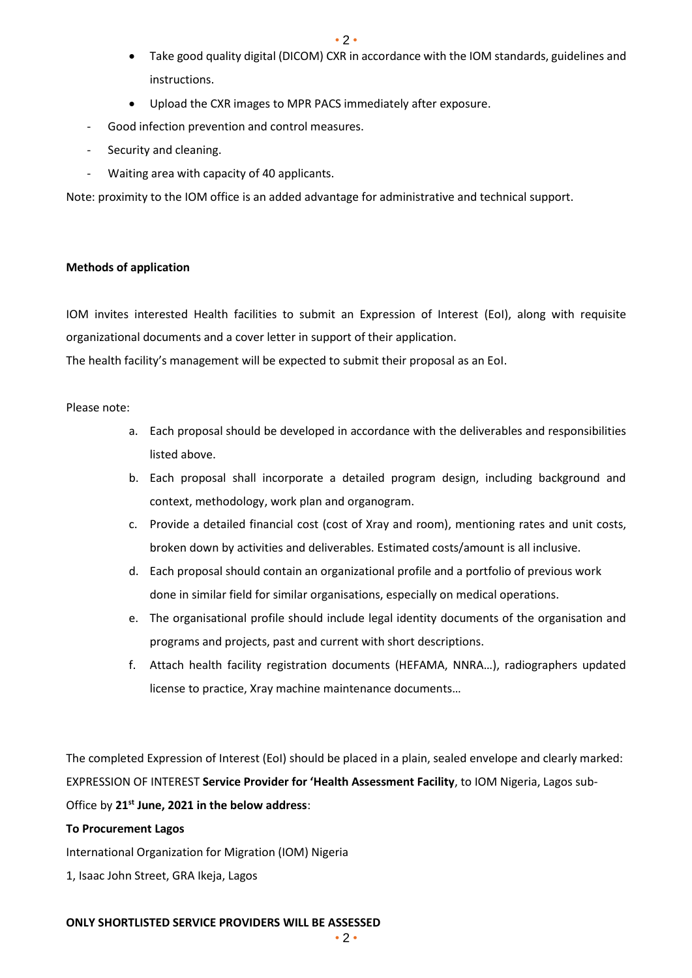• 2 •

- Take good quality digital (DICOM) CXR in accordance with the IOM standards, guidelines and instructions.
- Upload the CXR images to MPR PACS immediately after exposure.
- Good infection prevention and control measures.
- Security and cleaning.
- Waiting area with capacity of 40 applicants.

Note: proximity to the IOM office is an added advantage for administrative and technical support.

### **Methods of application**

IOM invites interested Health facilities to submit an Expression of Interest (EoI), along with requisite organizational documents and a cover letter in support of their application.

The health facility's management will be expected to submit their proposal as an EoI.

### Please note:

- a. Each proposal should be developed in accordance with the deliverables and responsibilities listed above.
- b. Each proposal shall incorporate a detailed program design, including background and context, methodology, work plan and organogram.
- c. Provide a detailed financial cost (cost of Xray and room), mentioning rates and unit costs, broken down by activities and deliverables. Estimated costs/amount is all inclusive.
- d. Each proposal should contain an organizational profile and a portfolio of previous work done in similar field for similar organisations, especially on medical operations.
- e. The organisational profile should include legal identity documents of the organisation and programs and projects, past and current with short descriptions.
- f. Attach health facility registration documents (HEFAMA, NNRA…), radiographers updated license to practice, Xray machine maintenance documents…

The completed Expression of Interest (EoI) should be placed in a plain, sealed envelope and clearly marked: EXPRESSION OF INTEREST **Service Provider for 'Health Assessment Facility**, to IOM Nigeria, Lagos sub-Office by **21st June, 2021 in the below address**:

# **To Procurement Lagos**

International Organization for Migration (IOM) Nigeria

1, Isaac John Street, GRA Ikeja, Lagos

#### **ONLY SHORTLISTED SERVICE PROVIDERS WILL BE ASSESSED**